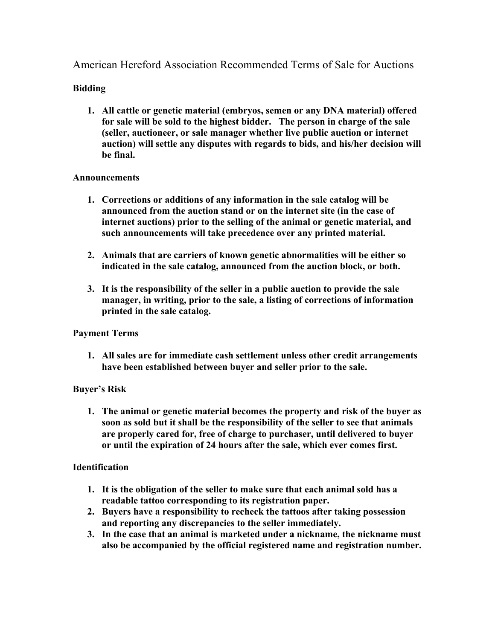American Hereford Association Recommended Terms of Sale for Auctions

# **Bidding**

**1. All cattle or genetic material (embryos, semen or any DNA material) offered for sale will be sold to the highest bidder. The person in charge of the sale (seller, auctioneer, or sale manager whether live public auction or internet auction) will settle any disputes with regards to bids, and his/her decision will be final.**

### **Announcements**

- **1. Corrections or additions of any information in the sale catalog will be announced from the auction stand or on the internet site (in the case of internet auctions) prior to the selling of the animal or genetic material, and such announcements will take precedence over any printed material.**
- **2. Animals that are carriers of known genetic abnormalities will be either so indicated in the sale catalog, announced from the auction block, or both.**
- **3. It is the responsibility of the seller in a public auction to provide the sale manager, in writing, prior to the sale, a listing of corrections of information printed in the sale catalog.**

## **Payment Terms**

**1. All sales are for immediate cash settlement unless other credit arrangements have been established between buyer and seller prior to the sale.**

## **Buyer's Risk**

**1. The animal or genetic material becomes the property and risk of the buyer as soon as sold but it shall be the responsibility of the seller to see that animals are properly cared for, free of charge to purchaser, until delivered to buyer or until the expiration of 24 hours after the sale, which ever comes first.**

#### **Identification**

- **1. It is the obligation of the seller to make sure that each animal sold has a readable tattoo corresponding to its registration paper.**
- **2. Buyers have a responsibility to recheck the tattoos after taking possession and reporting any discrepancies to the seller immediately.**
- **3. In the case that an animal is marketed under a nickname, the nickname must also be accompanied by the official registered name and registration number.**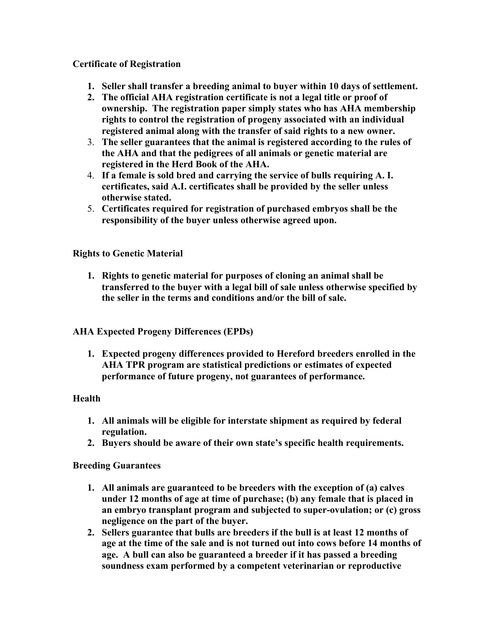## **Certificate of Registration**

- **1. Seller shall transfer a breeding animal to buyer within 10 days of settlement.**
- **2. The official AHA registration certificate is not a legal title or proof of ownership. The registration paper simply states who has AHA membership rights to control the registration of progeny associated with an individual registered animal along with the transfer of said rights to a new owner.**
- 3. **The seller guarantees that the animal is registered according to the rules of the AHA and that the pedigrees of all animals or genetic material are registered in the Herd Book of the AHA.**
- 4. **If a female is sold bred and carrying the service of bulls requiring A. I. certificates, said A.I. certificates shall be provided by the seller unless otherwise stated.**
- 5. **Certificates required for registration of purchased embryos shall be the responsibility of the buyer unless otherwise agreed upon.**

### **Rights to Genetic Material**

**1. Rights to genetic material for purposes of cloning an animal shall be transferred to the buyer with a legal bill of sale unless otherwise specified by the seller in the terms and conditions and/or the bill of sale.**

#### **AHA Expected Progeny Differences (EPDs)**

**1. Expected progeny differences provided to Hereford breeders enrolled in the AHA TPR program are statistical predictions or estimates of expected performance of future progeny, not guarantees of performance.**

#### **Health**

- **1. All animals will be eligible for interstate shipment as required by federal regulation.**
- **2. Buyers should be aware of their own state's specific health requirements.**

## **Breeding Guarantees**

- **1. All animals are guaranteed to be breeders with the exception of (a) calves under 12 months of age at time of purchase; (b) any female that is placed in an embryo transplant program and subjected to super-ovulation; or (c) gross negligence on the part of the buyer.**
- **2. Sellers guarantee that bulls are breeders if the bull is at least 12 months of age at the time of the sale and is not turned out into cows before 14 months of age. A bull can also be guaranteed a breeder if it has passed a breeding soundness exam performed by a competent veterinarian or reproductive**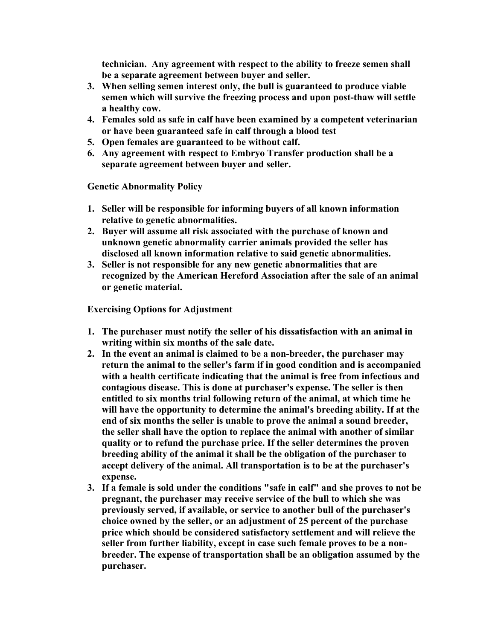**technician. Any agreement with respect to the ability to freeze semen shall be a separate agreement between buyer and seller.** 

- **3. When selling semen interest only, the bull is guaranteed to produce viable semen which will survive the freezing process and upon post-thaw will settle a healthy cow.**
- **4. Females sold as safe in calf have been examined by a competent veterinarian or have been guaranteed safe in calf through a blood test**
- **5. Open females are guaranteed to be without calf.**
- **6. Any agreement with respect to Embryo Transfer production shall be a separate agreement between buyer and seller.**

**Genetic Abnormality Policy**

- **1. Seller will be responsible for informing buyers of all known information relative to genetic abnormalities.**
- **2. Buyer will assume all risk associated with the purchase of known and unknown genetic abnormality carrier animals provided the seller has disclosed all known information relative to said genetic abnormalities.**
- **3. Seller is not responsible for any new genetic abnormalities that are recognized by the American Hereford Association after the sale of an animal or genetic material.**

**Exercising Options for Adjustment**

- **1. The purchaser must notify the seller of his dissatisfaction with an animal in writing within six months of the sale date.**
- **2. In the event an animal is claimed to be a non-breeder, the purchaser may return the animal to the seller's farm if in good condition and is accompanied with a health certificate indicating that the animal is free from infectious and contagious disease. This is done at purchaser's expense. The seller is then entitled to six months trial following return of the animal, at which time he will have the opportunity to determine the animal's breeding ability. If at the end of six months the seller is unable to prove the animal a sound breeder, the seller shall have the option to replace the animal with another of similar quality or to refund the purchase price. If the seller determines the proven breeding ability of the animal it shall be the obligation of the purchaser to accept delivery of the animal. All transportation is to be at the purchaser's expense.**
- **3. If a female is sold under the conditions "safe in calf" and she proves to not be pregnant, the purchaser may receive service of the bull to which she was previously served, if available, or service to another bull of the purchaser's choice owned by the seller, or an adjustment of 25 percent of the purchase price which should be considered satisfactory settlement and will relieve the seller from further liability, except in case such female proves to be a nonbreeder. The expense of transportation shall be an obligation assumed by the purchaser.**